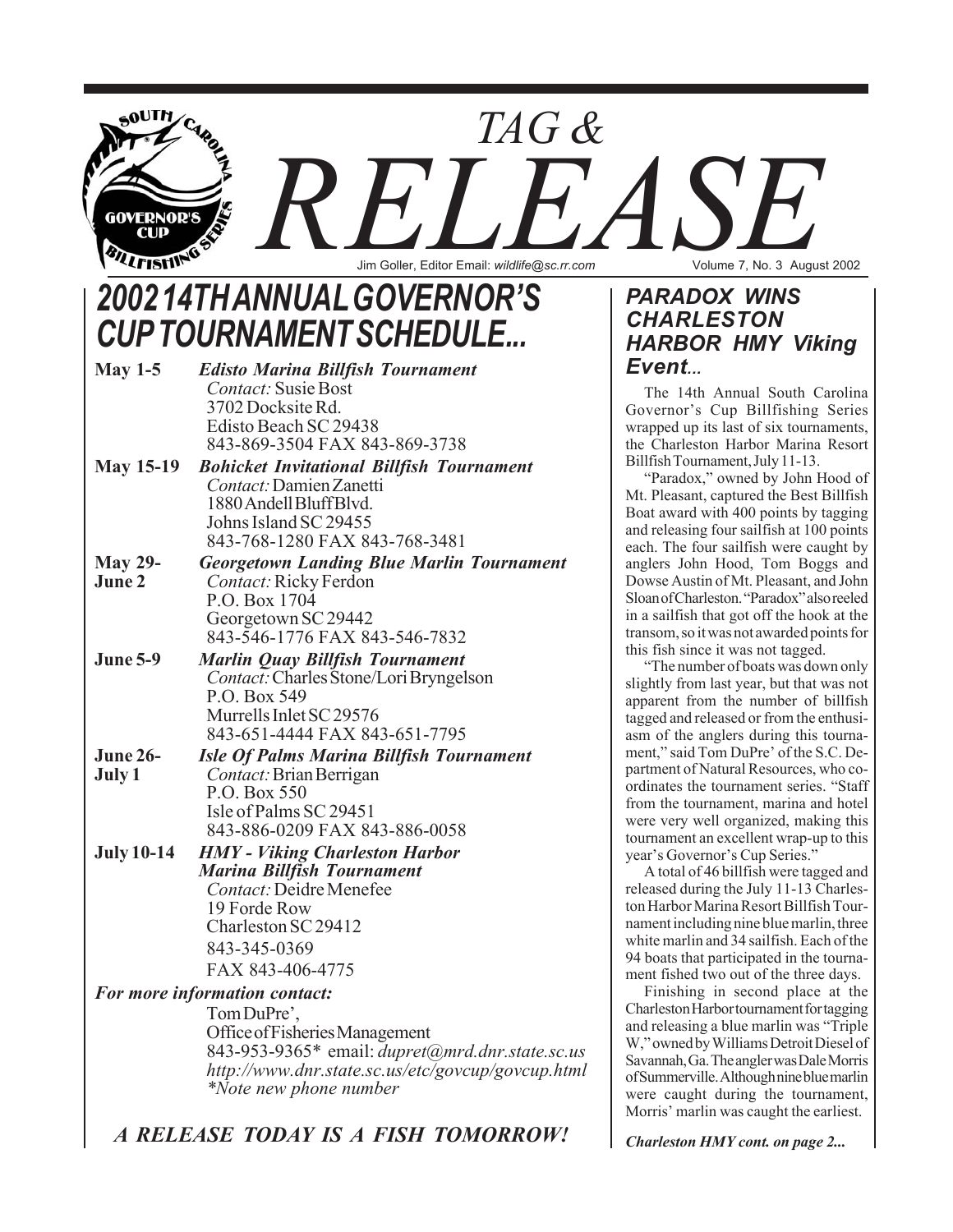

# *2002 14TH ANNUAL GOVERNOR'S CUP TOURNAMENT SCHEDULE...*

| May $1-5$         | <b>Edisto Marina Billfish Tournament</b>         |
|-------------------|--------------------------------------------------|
|                   | <b>Contact:</b> Susie Bost                       |
|                   | 3702 Docksite Rd.                                |
|                   | Edisto Beach SC 29438                            |
|                   | 843-869-3504 FAX 843-869-3738                    |
| <b>May 15-19</b>  | <b>Bohicket Invitational Billfish Tournament</b> |
|                   | Contact: Damien Zanetti                          |
|                   | 1880 Andell Bluff Blvd.                          |
|                   | Johns Island SC 29455                            |
|                   | 843-768-1280 FAX 843-768-3481                    |
| <b>May 29-</b>    | <b>Georgetown Landing Blue Marlin Tournament</b> |
| June 2            | Contact: Ricky Ferdon                            |
|                   | P.O. Box 1704                                    |
|                   | Georgetown SC 29442                              |
|                   | 843-546-1776 FAX 843-546-7832                    |
| <b>June 5-9</b>   | <b>Marlin Quay Billfish Tournament</b>           |
|                   | <i>Contact:</i> Charles Stone/Lori Bryngelson    |
|                   | P.O. Box 549                                     |
|                   | Murrells Inlet SC 29576                          |
|                   | 843-651-4444 FAX 843-651-7795                    |
| <b>June 26-</b>   | <b>Isle Of Palms Marina Billfish Tournament</b>  |
| July 1            | Contact: Brian Berrigan                          |
|                   | P.O. Box 550                                     |
|                   | Isle of Palms SC 29451                           |
|                   | 843-886-0209 FAX 843-886-0058                    |
| <b>July 10-14</b> | <b>HMY</b> - Viking Charleston Harbor            |
|                   | <b>Marina Billfish Tournament</b>                |
|                   | <b>Contact: Deidre Menefee</b>                   |
|                   | 19 Forde Row                                     |
|                   | Charleston SC 29412                              |
|                   | 843-345-0369                                     |
|                   | FAX 843-406-4775                                 |
|                   | For more information contact:                    |
|                   | Tom DuPre',                                      |

Office of Fisheries Management 843-953-9365\* email: *dupret@mrd.dnr.state.sc.us http://www.dnr.state.sc.us/etc/govcup/govcup.html \*Note new phone number*

### *PARADOX WINS CHARLESTON HARBOR HMY Viking Event...*

The 14th Annual South Carolina Governor's Cup Billfishing Series wrapped up its last of six tournaments, the Charleston Harbor Marina Resort Billfish Tournament, July 11-13.

"Paradox," owned by John Hood of Mt. Pleasant, captured the Best Billfish Boat award with 400 points by tagging and releasing four sailfish at 100 points each. The four sailfish were caught by anglers John Hood, Tom Boggs and Dowse Austin of Mt. Pleasant, and John Sloan of Charleston. "Paradox" also reeled in a sailfish that got off the hook at the transom, so it was not awarded points for this fish since it was not tagged.

"The number of boats was down only slightly from last year, but that was not apparent from the number of billfish tagged and released or from the enthusiasm of the anglers during this tournament," said Tom DuPre' of the S.C. Department of Natural Resources, who coordinates the tournament series. "Staff from the tournament, marina and hotel were very well organized, making this tournament an excellent wrap-up to this year's Governor's Cup Series."

A total of 46 billfish were tagged and released during the July 11-13 Charleston Harbor Marina Resort Billfish Tournament including nine blue marlin, three white marlin and 34 sailfish. Each of the 94 boats that participated in the tournament fished two out of the three days.

Finishing in second place at the Charleston Harbor tournament for tagging and releasing a blue marlin was "Triple W," owned by Williams Detroit Diesel of Savannah, Ga. The angler was Dale Morris of Summerville. Although nine blue marlin were caught during the tournament, Morris' marlin was caught the earliest.

*Charleston HMY cont. on page 2...*

*A RELEASE TODAY IS A FISH TOMORROW!*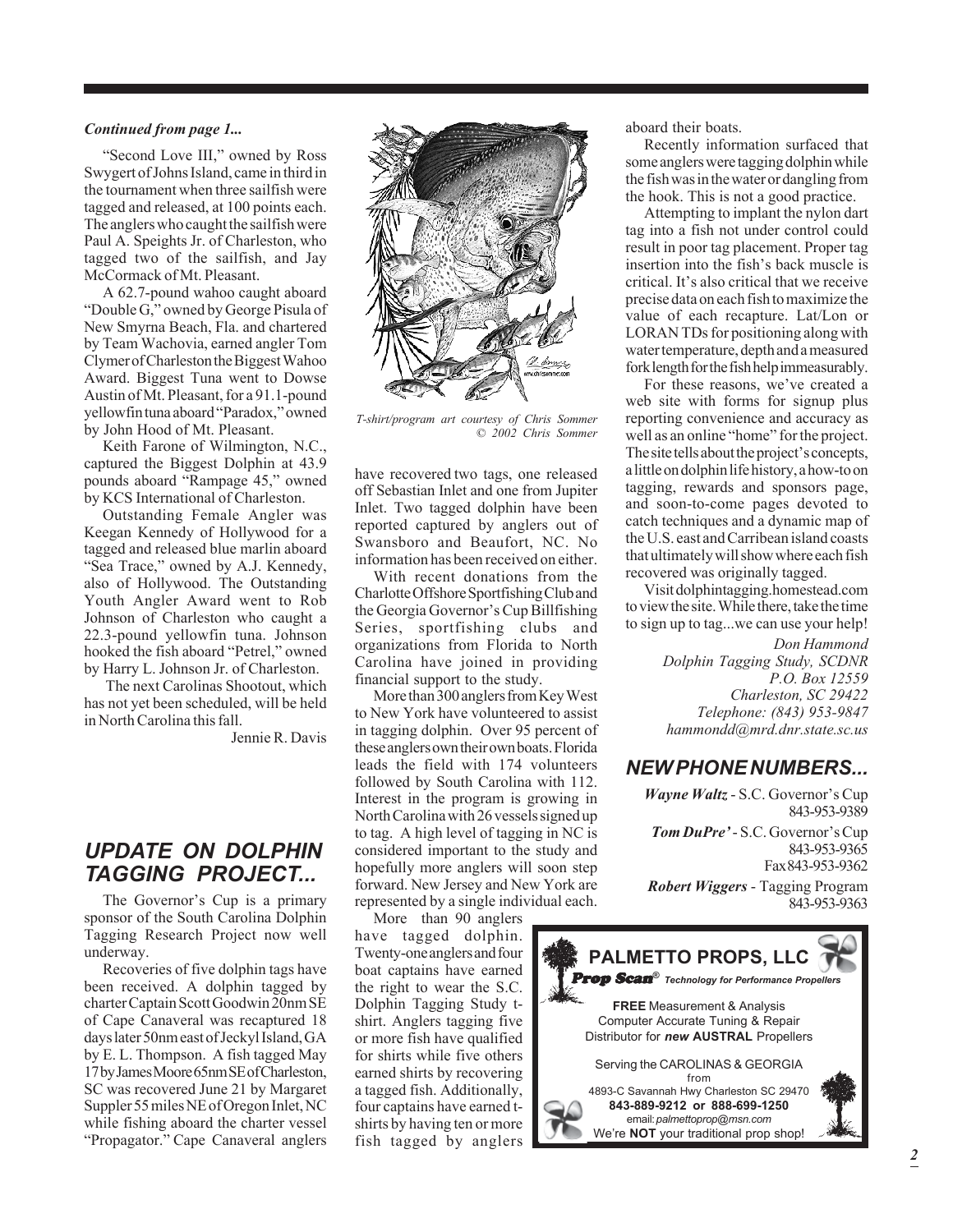#### *Continued from page 1...*

"Second Love III," owned by Ross Swygert of Johns Island, came in third in the tournament when three sailfish were tagged and released, at 100 points each. The anglers who caught the sailfish were Paul A. Speights Jr. of Charleston, who tagged two of the sailfish, and Jay McCormack of Mt. Pleasant.

A 62.7-pound wahoo caught aboard "Double G," owned by George Pisula of New Smyrna Beach, Fla. and chartered by Team Wachovia, earned angler Tom Clymer of Charleston the Biggest Wahoo Award. Biggest Tuna went to Dowse Austin of Mt. Pleasant, for a 91.1-pound yellowfin tuna aboard "Paradox," owned by John Hood of Mt. Pleasant.

Keith Farone of Wilmington, N.C., captured the Biggest Dolphin at 43.9 pounds aboard "Rampage 45," owned by KCS International of Charleston.

Outstanding Female Angler was Keegan Kennedy of Hollywood for a tagged and released blue marlin aboard "Sea Trace," owned by A.J. Kennedy, also of Hollywood. The Outstanding Youth Angler Award went to Rob Johnson of Charleston who caught a 22.3-pound yellowfin tuna. Johnson hooked the fish aboard "Petrel," owned by Harry L. Johnson Jr. of Charleston.

 The next Carolinas Shootout, which has not yet been scheduled, will be held in North Carolina this fall.

Jennie R. Davis

### *UPDATE ON DOLPHIN TAGGING PROJECT...*

The Governor's Cup is a primary sponsor of the South Carolina Dolphin Tagging Research Project now well underway.

Recoveries of five dolphin tags have been received. A dolphin tagged by charter Captain Scott Goodwin 20nm SE of Cape Canaveral was recaptured 18 days later 50nm east of Jeckyl Island, GA by E. L. Thompson. A fish tagged May 17 by James Moore 65nm SE of Charleston, SC was recovered June 21 by Margaret Suppler 55 miles NE of Oregon Inlet, NC while fishing aboard the charter vessel "Propagator." Cape Canaveral anglers



*T-shirt/program art courtesy of Chris Sommer © 2002 Chris Sommer*

have recovered two tags, one released off Sebastian Inlet and one from Jupiter Inlet. Two tagged dolphin have been reported captured by anglers out of Swansboro and Beaufort, NC. No information has been received on either.

With recent donations from the Charlotte Offshore Sportfishing Club and the Georgia Governor's Cup Billfishing Series, sportfishing clubs and organizations from Florida to North Carolina have joined in providing financial support to the study.

More than 300 anglers from Key West to New York have volunteered to assist in tagging dolphin. Over 95 percent of these anglers own their own boats. Florida leads the field with 174 volunteers followed by South Carolina with 112. Interest in the program is growing in North Carolina with 26 vessels signed up to tag. A high level of tagging in NC is considered important to the study and hopefully more anglers will soon step forward. New Jersey and New York are represented by a single individual each.

More than 90 anglers have tagged dolphin. Twenty-one anglers and four boat captains have earned the right to wear the S.C. Dolphin Tagging Study tshirt. Anglers tagging five or more fish have qualified for shirts while five others earned shirts by recovering a tagged fish. Additionally, four captains have earned tshirts by having ten or more fish tagged by anglers

aboard their boats.

Recently information surfaced that some anglers were tagging dolphin while the fish was in the water or dangling from the hook. This is not a good practice.

Attempting to implant the nylon dart tag into a fish not under control could result in poor tag placement. Proper tag insertion into the fish's back muscle is critical. It's also critical that we receive precise data on each fish to maximize the value of each recapture. Lat/Lon or LORAN TDs for positioning along with water temperature, depth and a measured fork length for the fish help immeasurably.

For these reasons, we've created a web site with forms for signup plus reporting convenience and accuracy as well as an online "home" for the project. The site tells about the project's concepts, a little on dolphin life history, a how-to on tagging, rewards and sponsors page, and soon-to-come pages devoted to catch techniques and a dynamic map of the U.S. east and Carribean island coasts that ultimately will show where each fish recovered was originally tagged.

Visit dolphintagging.homestead.com to view the site. While there, take the time to sign up to tag...we can use your help!

> *Don Hammond Dolphin Tagging Study, SCDNR P.O. Box 12559 Charleston, SC 29422 Telephone: (843) 953-9847 hammondd@mrd.dnr.state.sc.us*

#### *NEW PHONE NUMBERS...*

*Wayne Waltz* - S.C. Governor's Cup 843-953-9389 *Tom DuPre'* - S.C. Governor's Cup 843-953-9365 Fax 843-953-9362 *Robert Wiggers* - Tagging Program 843-953-9363

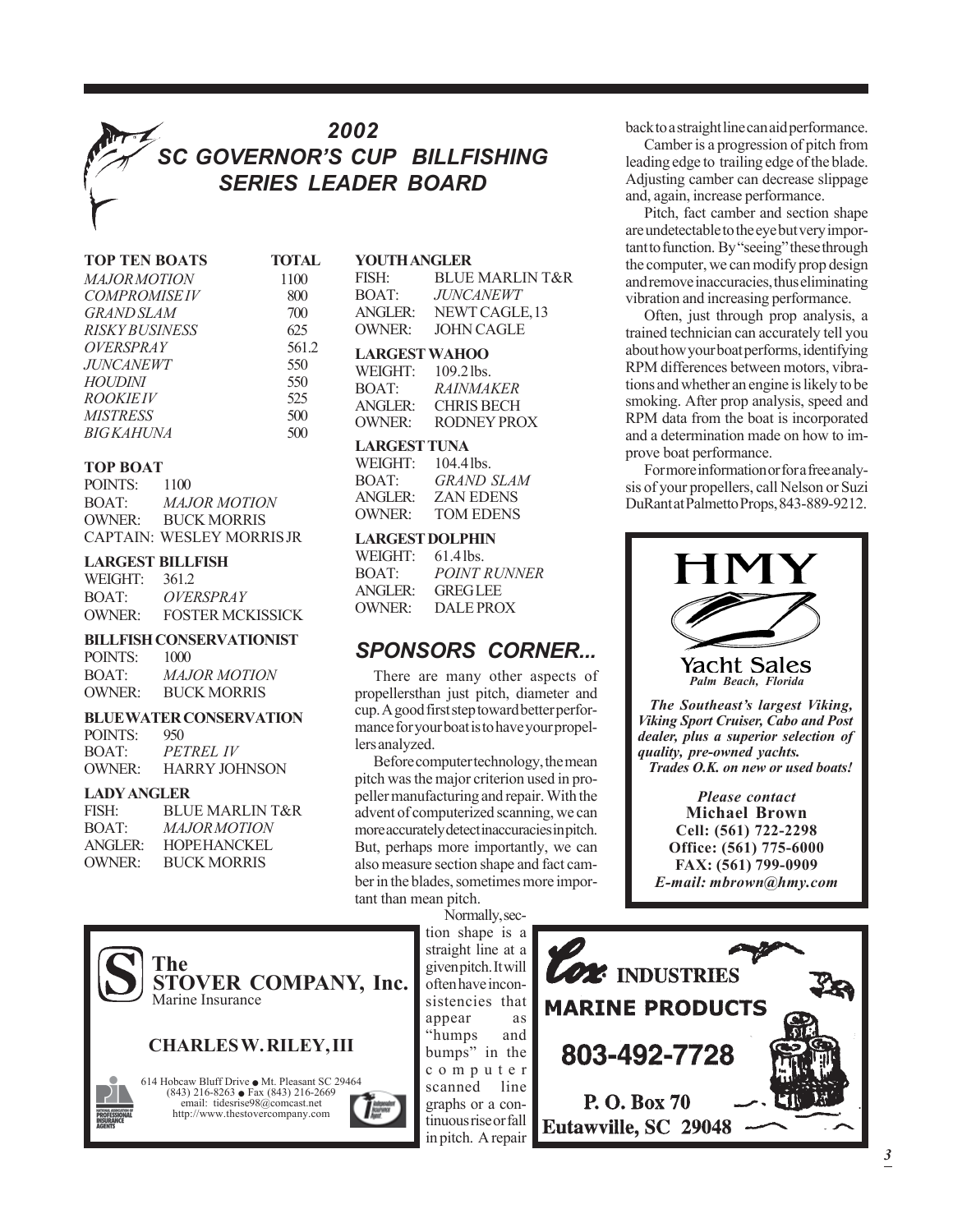## *2002 SC GOVERNOR'S CUP BILLFISHING SERIES LEADER BOARD*

| <b>TOP TEN BOATS</b>    | <b>TOTA</b> |
|-------------------------|-------------|
| <i>MAJOR MOTION</i>     | 1100        |
| <b>COMPROMISEIV</b>     | 800         |
| <b>GRAND SLAM</b>       | 700         |
| <i>RISKY BUSINESS</i>   | 625         |
| <i><b>OVERSPRAY</b></i> | 561         |
| <i>JUNCANEWT</i>        | 550         |
| <i>HOUDINI</i>          | 550         |
| <i>ROOKIEIV</i>         | 525         |
| <b>MISTRESS</b>         | 500         |
| <i>BIGKAHUNA</i>        | 500         |

#### **TOP BOAT**

| POINTS: | 1100                            |
|---------|---------------------------------|
| BOAT:   | <b>MAJOR MOTION</b>             |
| OWNER:  | <b>BUCK MORRIS</b>              |
|         | <b>CAPTAIN: WESLEY MORRISJR</b> |

#### **LARGEST BILLFISH**

| WEIGHT: | 361.2                   |
|---------|-------------------------|
| BOAT:   | <i><b>OVERSPRAY</b></i> |
| OWNER:  | <b>FOSTER MCKISSICK</b> |

#### **BILLFISH CONSERVATIONIST**

POINTS: 1000 BOAT: *MAJOR MOTION* OWNER: BUCK MORRIS

#### **BLUE WATER CONSERVATION**

POINTS: 950 BOAT: *PETREL IV* OWNER: HARRY JOHNSON

#### **LADY ANGLER**

| <b>BLUE MARLIN T&amp;R</b> |
|----------------------------|
| <i>MAJOR MOTION</i>        |
| <b>HOPEHANCKEL</b>         |
| <b>BUCK MORRIS</b>         |
|                            |

| <b>TOTAL</b> | <b>YOUTH ANGLER</b>  |                            |
|--------------|----------------------|----------------------------|
| 1100         | FISH:                | <b>BLUE MARLIN T&amp;R</b> |
| 800          | BOAT:                | <b>JUNCANEWT</b>           |
| 700          | <b>ANGLER:</b>       | NEWT CAGLE, 13             |
| 625          | <b>OWNER:</b>        | <b>JOHN CAGLE</b>          |
| 561.2        | <b>LARGEST WAHOO</b> |                            |
| 550          | WEIGHT: $109.2$ lbs. |                            |

| WEIGHT: | $109.2$ lbs.      |
|---------|-------------------|
| BOAT:   | <i>RAINMAKER</i>  |
| ANGLER: | <b>CHRIS BECH</b> |
| OWNER:  | RODNEY PROX       |

#### **LARGEST TUNA**

| WEIGHT: | $104.4$ lbs.     |
|---------|------------------|
| BOAT:   | GRAND SLAM       |
| ANGLER: | ZAN EDENS        |
| OWNER:  | <b>TOM EDENS</b> |

#### **LARGEST DOLPHIN**

| $61.4$ lbs.         |
|---------------------|
| <b>POINT RUNNER</b> |
| <b>GREGLEE</b>      |
| <b>DALE PROX</b>    |
|                     |

### *SPONSORS CORNER...*

There are many other aspects of propellersthan just pitch, diameter and cup. A good first step toward better performance for your boat is to have your propellers analyzed.

Before computer technology, the mean pitch was the major criterion used in propeller manufacturing and repair. With the advent of computerized scanning, we can more accurately detect inaccuracies in pitch. But, perhaps more importantly, we can also measure section shape and fact camber in the blades, sometimes more important than mean pitch.

> Normally, section shape is a

straight line at a given pitch. It will often have inconsistencies that appear as "humps and bumps" in the computer scanned line graphs or a continuous rise or fall in pitch. A repair

back to a straight line can aid performance.

Camber is a progression of pitch from leading edge to trailing edge of the blade. Adjusting camber can decrease slippage and, again, increase performance.

Pitch, fact camber and section shape are undetectable to the eye but very important to function. By "seeing" these through the computer, we can modify prop design and remove inaccuracies, thus eliminating vibration and increasing performance.

Often, just through prop analysis, a trained technician can accurately tell you about how your boat performs, identifying RPM differences between motors, vibrations and whether an engine is likely to be smoking. After prop analysis, speed and RPM data from the boat is incorporated and a determination made on how to improve boat performance.

For more information or for a free analysis of your propellers, call Nelson or Suzi DuRant at Palmetto Props, 843-889-9212.







*3*